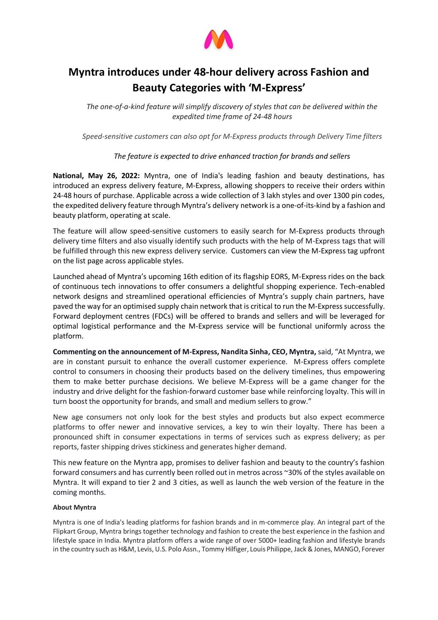

## **Myntra introduces under 48-hour delivery across Fashion and Beauty Categories with 'M-Express'**

*The one-of-a-kind feature will simplify discovery of styles that can be delivered within the expedited time frame of 24-48 hours*

*Speed-sensitive customers can also opt for M-Express products through Delivery Time filters*

## *The feature is expected to drive enhanced traction for brands and sellers*

**National, May 26, 2022:** Myntra, one of India's leading fashion and beauty destinations, has introduced an express delivery feature, M-Express, allowing shoppers to receive their orders within 24-48 hours of purchase. Applicable across a wide collection of 3 lakh styles and over 1300 pin codes, the expedited delivery feature through Myntra's delivery network is a one-of-its-kind by a fashion and beauty platform, operating at scale.

The feature will allow speed-sensitive customers to easily search for M-Express products through delivery time filters and also visually identify such products with the help of M-Express tags that will be fulfilled through this new express delivery service. Customers can view the M-Express tag upfront on the list page across applicable styles.

Launched ahead of Myntra's upcoming 16th edition of its flagship EORS, M-Express rides on the back of continuous tech innovations to offer consumers a delightful shopping experience. Tech-enabled network designs and streamlined operational efficiencies of Myntra's supply chain partners, have paved the way for an optimised supply chain network that is critical to run the M-Express successfully. Forward deployment centres (FDCs) will be offered to brands and sellers and will be leveraged for optimal logistical performance and the M-Express service will be functional uniformly across the platform.

**Commenting on the announcement of M-Express, Nandita Sinha, CEO, Myntra,** said, "At Myntra, we are in constant pursuit to enhance the overall customer experience. M-Express offers complete control to consumers in choosing their products based on the delivery timelines, thus empowering them to make better purchase decisions. We believe M-Express will be a game changer for the industry and drive delight for the fashion-forward customer base while reinforcing loyalty. This will in turn boost the opportunity for brands, and small and medium sellers to grow."

New age consumers not only look for the best styles and products but also expect ecommerce platforms to offer newer and innovative services, a key to win their loyalty. There has been a pronounced shift in consumer expectations in terms of services such as express delivery; as per reports, faster shipping drives stickiness and generates higher demand.

This new feature on the Myntra app, promises to deliver fashion and beauty to the country's fashion forward consumers and has currently been rolled out in metros across ~30% of the styles available on Myntra. It will expand to tier 2 and 3 cities, as well as launch the web version of the feature in the coming months.

## **About Myntra**

Myntra is one of India's leading platforms for fashion brands and in m-commerce play. An integral part of the Flipkart Group, Myntra brings together technology and fashion to create the best experience in the fashion and lifestyle space in India. Myntra platform offers a wide range of over 5000+ leading fashion and lifestyle brands in the country such as H&M, Levis, U.S. Polo Assn., Tommy Hilfiger, Louis Philippe, Jack & Jones, MANGO, Forever